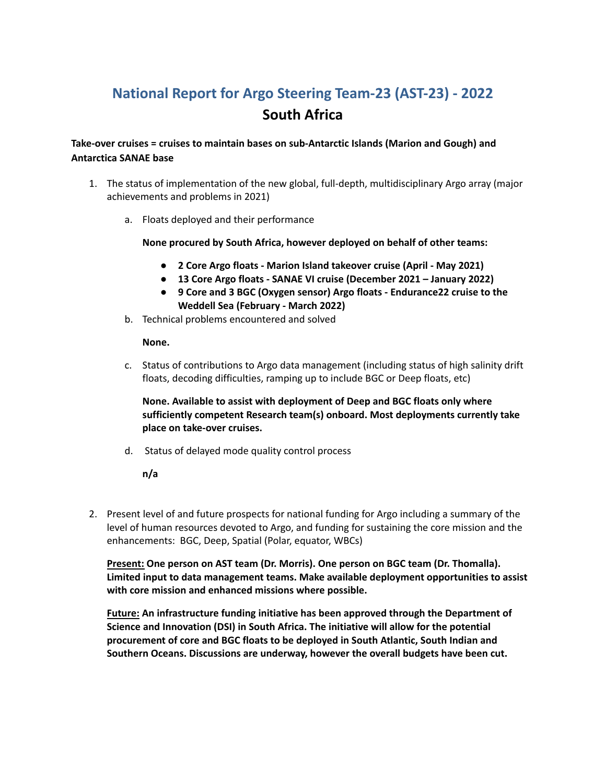# **National Report for Argo Steering Team-23 (AST-23) - 2022 South Africa**

## **Take-over cruises = cruises to maintain bases on sub-Antarctic Islands (Marion and Gough) and Antarctica SANAE base**

- 1. The status of implementation of the new global, full-depth, multidisciplinary Argo array (major achievements and problems in 2021)
	- a. Floats deployed and their performance

## **None procured by South Africa, however deployed on behalf of other teams:**

- **● 2 Core Argo floats - Marion Island takeover cruise (April - May 2021)**
- **● 13 Core Argo floats - SANAE VI cruise (December 2021 – January 2022)**
- **● 9 Core and 3 BGC (Oxygen sensor) Argo floats - Endurance22 cruise to the Weddell Sea (February - March 2022)**
- b. Technical problems encountered and solved

## **None.**

c. Status of contributions to Argo data management (including status of high salinity drift floats, decoding difficulties, ramping up to include BGC or Deep floats, etc)

**None. Available to assist with deployment of Deep and BGC floats only where sufficiently competent Research team(s) onboard. Most deployments currently take place on take-over cruises.**

d. Status of delayed mode quality control process

**n/a**

2. Present level of and future prospects for national funding for Argo including a summary of the level of human resources devoted to Argo, and funding for sustaining the core mission and the enhancements: BGC, Deep, Spatial (Polar, equator, WBCs)

**Present: One person on AST team (Dr. Morris). One person on BGC team (Dr. Thomalla). Limited input to data management teams. Make available deployment opportunities to assist with core mission and enhanced missions where possible.**

**Future: An infrastructure funding initiative has been approved through the Department of Science and Innovation (DSI) in South Africa. The initiative will allow for the potential procurement of core and BGC floats to be deployed in South Atlantic, South Indian and Southern Oceans. Discussions are underway, however the overall budgets have been cut.**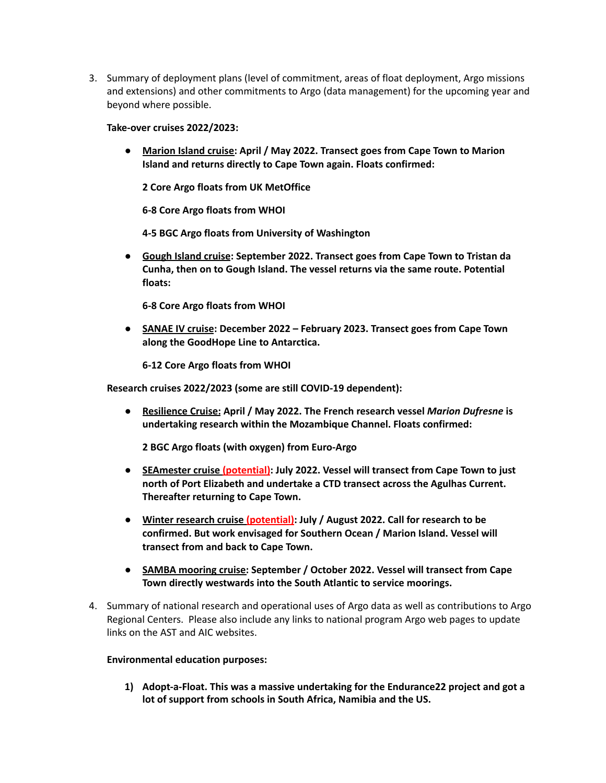3. Summary of deployment plans (level of commitment, areas of float deployment, Argo missions and extensions) and other commitments to Argo (data management) for the upcoming year and beyond where possible.

## **Take-over cruises 2022/2023:**

**● Marion Island cruise: April / May 2022. Transect goes from Cape Town to Marion Island and returns directly to Cape Town again. Floats confirmed:**

**2 Core Argo floats from UK MetOffice**

**6-8 Core Argo floats from WHOI**

**4-5 BGC Argo floats from University of Washington**

**● Gough Island cruise: September 2022. Transect goes from Cape Town to Tristan da Cunha, then on to Gough Island. The vessel returns via the same route. Potential floats:**

**6-8 Core Argo floats from WHOI**

**● SANAE IV cruise: December 2022 – February 2023. Transect goes from Cape Town along the GoodHope Line to Antarctica.**

**6-12 Core Argo floats from WHOI**

**Research cruises 2022/2023 (some are still COVID-19 dependent):**

**● Resilience Cruise: April / May 2022. The French research vessel** *Marion Dufresne* **is undertaking research within the Mozambique Channel. Floats confirmed:**

**2 BGC Argo floats (with oxygen) from Euro-Argo**

- **● SEAmester cruise (potential): July 2022. Vessel will transect from Cape Town to just north of Port Elizabeth and undertake a CTD transect across the Agulhas Current. Thereafter returning to Cape Town.**
- **● Winter research cruise (potential): July / August 2022. Call for research to be confirmed. But work envisaged for Southern Ocean / Marion Island. Vessel will transect from and back to Cape Town.**
- **● SAMBA mooring cruise: September / October 2022. Vessel will transect from Cape Town directly westwards into the South Atlantic to service moorings.**
- 4. Summary of national research and operational uses of Argo data as well as contributions to Argo Regional Centers. Please also include any links to national program Argo web pages to update links on the AST and AIC websites.

#### **Environmental education purposes:**

**1) Adopt-a-Float. This was a massive undertaking for the Endurance22 project and got a lot of support from schools in South Africa, Namibia and the US.**